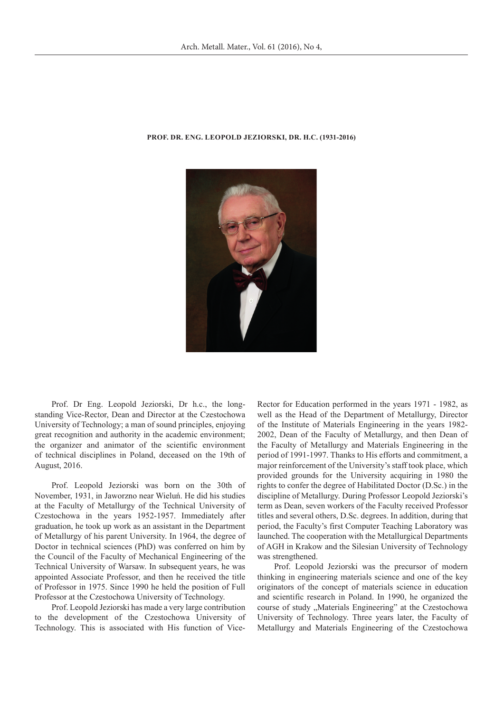

## **Prof. Dr. Eng. Leopold Jeziorski, Dr. h.c. (1931-2016)**

Prof. Dr Eng. Leopold Jeziorski, Dr h.c., the longstanding Vice-Rector, Dean and Director at the Czestochowa University of Technology; a man of sound principles, enjoying great recognition and authority in the academic environment; the organizer and animator of the scientific environment of technical disciplines in Poland, deceased on the 19th of August, 2016.

Prof. Leopold Jeziorski was born on the 30th of November, 1931, in Jaworzno near Wieluń. He did his studies at the Faculty of Metallurgy of the Technical University of Czestochowa in the years 1952-1957. Immediately after graduation, he took up work as an assistant in the Department of Metallurgy of his parent University. In 1964, the degree of Doctor in technical sciences (PhD) was conferred on him by the Council of the Faculty of Mechanical Engineering of the Technical University of Warsaw. In subsequent years, he was appointed Associate Professor, and then he received the title of Professor in 1975. Since 1990 he held the position of Full Professor at the Czestochowa University of Technology.

Prof. Leopold Jeziorski has made a very large contribution to the development of the Czestochowa University of Technology. This is associated with His function of ViceRector for Education performed in the years 1971 - 1982, as well as the Head of the Department of Metallurgy, Director of the Institute of Materials Engineering in the years 1982- 2002, Dean of the Faculty of Metallurgy, and then Dean of the Faculty of Metallurgy and Materials Engineering in the period of 1991-1997. Thanks to His efforts and commitment, a major reinforcement of the University's staff took place, which provided grounds for the University acquiring in 1980 the rights to confer the degree of Habilitated Doctor (D.Sc.) in the discipline of Metallurgy. During Professor Leopold Jeziorski's term as Dean, seven workers of the Faculty received Professor titles and several others, D.Sc. degrees. In addition, during that period, the Faculty's first Computer Teaching Laboratory was launched. The cooperation with the Metallurgical Departments of AGH in Krakow and the Silesian University of Technology was strengthened.

Prof. Leopold Jeziorski was the precursor of modern thinking in engineering materials science and one of the key originators of the concept of materials science in education and scientific research in Poland. In 1990, he organized the course of study "Materials Engineering" at the Czestochowa University of Technology. Three years later, the Faculty of Metallurgy and Materials Engineering of the Czestochowa